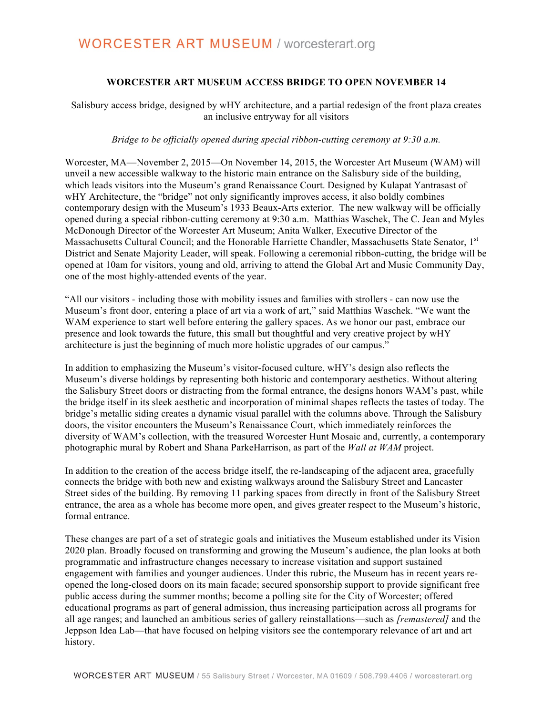## **WORCESTER ART MUSEUM ACCESS BRIDGE TO OPEN NOVEMBER 14**

## Salisbury access bridge, designed by wHY architecture, and a partial redesign of the front plaza creates an inclusive entryway for all visitors

### *Bridge to be officially opened during special ribbon-cutting ceremony at 9:30 a.m.*

Worcester, MA—November 2, 2015—On November 14, 2015, the Worcester Art Museum (WAM) will unveil a new accessible walkway to the historic main entrance on the Salisbury side of the building, which leads visitors into the Museum's grand Renaissance Court. Designed by Kulapat Yantrasast of wHY Architecture, the "bridge" not only significantly improves access, it also boldly combines contemporary design with the Museum's 1933 Beaux-Arts exterior. The new walkway will be officially opened during a special ribbon-cutting ceremony at 9:30 a.m. Matthias Waschek, The C. Jean and Myles McDonough Director of the Worcester Art Museum; Anita Walker, Executive Director of the Massachusetts Cultural Council; and the Honorable Harriette Chandler, Massachusetts State Senator, 1<sup>st</sup> District and Senate Majority Leader, will speak. Following a ceremonial ribbon-cutting, the bridge will be opened at 10am for visitors, young and old, arriving to attend the Global Art and Music Community Day, one of the most highly-attended events of the year.

"All our visitors - including those with mobility issues and families with strollers - can now use the Museum's front door, entering a place of art via a work of art," said Matthias Waschek. "We want the WAM experience to start well before entering the gallery spaces. As we honor our past, embrace our presence and look towards the future, this small but thoughtful and very creative project by wHY architecture is just the beginning of much more holistic upgrades of our campus."

In addition to emphasizing the Museum's visitor-focused culture, wHY's design also reflects the Museum's diverse holdings by representing both historic and contemporary aesthetics. Without altering the Salisbury Street doors or distracting from the formal entrance, the designs honors WAM's past, while the bridge itself in its sleek aesthetic and incorporation of minimal shapes reflects the tastes of today. The bridge's metallic siding creates a dynamic visual parallel with the columns above. Through the Salisbury doors, the visitor encounters the Museum's Renaissance Court, which immediately reinforces the diversity of WAM's collection, with the treasured Worcester Hunt Mosaic and, currently, a contemporary photographic mural by Robert and Shana ParkeHarrison, as part of the *Wall at WAM* project.

In addition to the creation of the access bridge itself, the re-landscaping of the adjacent area, gracefully connects the bridge with both new and existing walkways around the Salisbury Street and Lancaster Street sides of the building. By removing 11 parking spaces from directly in front of the Salisbury Street entrance, the area as a whole has become more open, and gives greater respect to the Museum's historic, formal entrance.

These changes are part of a set of strategic goals and initiatives the Museum established under its Vision 2020 plan. Broadly focused on transforming and growing the Museum's audience, the plan looks at both programmatic and infrastructure changes necessary to increase visitation and support sustained engagement with families and younger audiences. Under this rubric, the Museum has in recent years reopened the long-closed doors on its main facade; secured sponsorship support to provide significant free public access during the summer months; become a polling site for the City of Worcester; offered educational programs as part of general admission, thus increasing participation across all programs for all age ranges; and launched an ambitious series of gallery reinstallations—such as *[remastered]* and the Jeppson Idea Lab—that have focused on helping visitors see the contemporary relevance of art and art history.